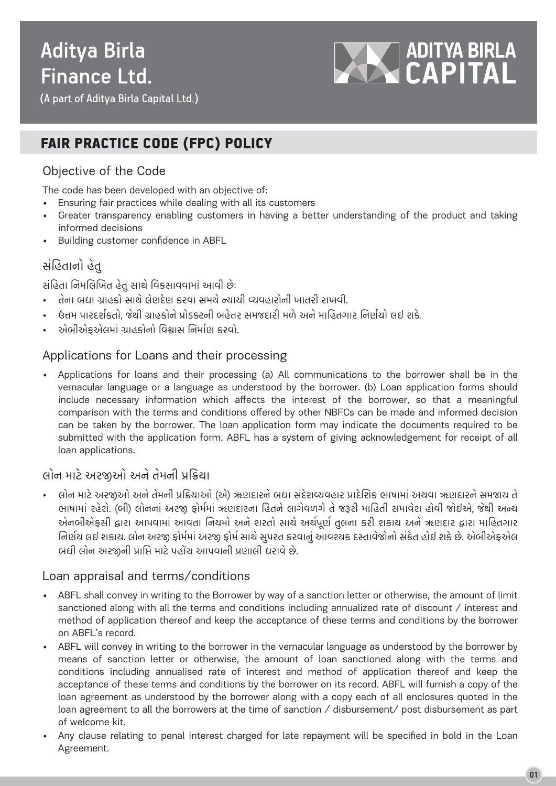# **Aditya Birla Finance Ltd.**



(A part of Aditya Birla Capital Ltd.)

# FAIR PRACTICE CODE (FPC) POLICY

# Objective of the Code

The code has been developed with an objective of:

- Ensuring fair practices while dealing with all its customers
- Greater transparency enabling customers in having a better understanding of the product and taking informed decisions
- Building customer confidence in ABFL

# સંહિતાનો હેતુ

સહિતા નિર્માલોખત હતું સાથ વિકસાવવામાં આવી છઃ

- તેના બધા ગ્રાહકો સાથે લેણદેણ કરવા સમયે ન્યાયી વ્યવહારોની ખાતરી રાખવી.
- ઉત્તમ પારદશંકતાં, જેથી ગ્રાહકોને પ્રોડક્ટની બહેતર સમજદારી મળે અને માહિતગાર નિર્ણયો લઈ શકે.
- એબીએકએલમાં ગ્રાહકોનો વિશ્વાસ નિર્માણ કરવો.

## Applications for Loans and their processing

• Applications for loans and their processing (a) All communications to the borrower shall be in the vernacular language or a language as understood by the borrower. (b) Loan application forms should include necessary information which affects the interest of the borrower, so that a meaningful comparison with the terms and conditions offered by other NBFCs can be made and informed decision can be taken by the borrower. The loan application form may indicate the documents required to be submitted with the application form. ABFL has a system of giving acknowledgement for receipt of all loan applications.

# લાંન માટે અરજીઓ અને તેમની પ્રક્રિયા

• લોન માટે અરજીઓ અને તેમની પ્રક્રિયાઓ (એ) ૠણદારને બંધા સદેશવ્યવહાર પ્રાદીશક ભાષામાં અથવા ૠણદારને સમજાય તે ભાષામાં રહેશે. (બી) લોનનાં અરજી ફોર્મમાં ૠણદારના હિતને લાગેવળગે તે જરૂરી માહિતી સમાવેશ હોવી જોઈએ, જેથી અન્ય એનબીએફસી દ્વારા આપવામાં આવતા નિયમો અને શરતો સાથે અથંપૂર્ણ તુલના કરી શકાય અને ૠણદાર દ્વારા માહિતગાર નિર્ણય લઈ શકાય. લાન અરજી ફામમાં અરજી ફામ સાથ સુપરત કરવાનું આવશ્યક દસ્તાવજાના સંકત હાઈ શક છ. અબીઅફઅલ બંધી લાન અરજીની પ્રાપ્તિ માટ પહાચ આપવાની પ્રણાલી ધરાવ છે.

### Loan appraisal and terms/conditions

- ABFL shall convey in writing to the Borrower by way of a sanction letter or otherwise, the amount of limit sanctioned along with all the terms and conditions including annualized rate of discount / interest and method of application thereof and keep the acceptance of these terms and conditions by the borrower on ABFL's record.
- ABFL will convey in writing to the borrower in the vernacular language as understood by the borrower by means of sanction letter or otherwise, the amount of loan sanctioned along with the terms and conditions including annualised rate of interest and method of application thereof and keep the acceptance of these terms and conditions by the borrower on its record. ABFL will furnish a copy of the loan agreement as understood by the borrower along with a copy each of all enclosures quoted in the loan agreement to all the borrowers at the time of sanction / disbursement/ post disbursement as part of welcome kit.
- Any clause relating to penal interest charged for late repayment will be specified in bold in the Loan Agreement.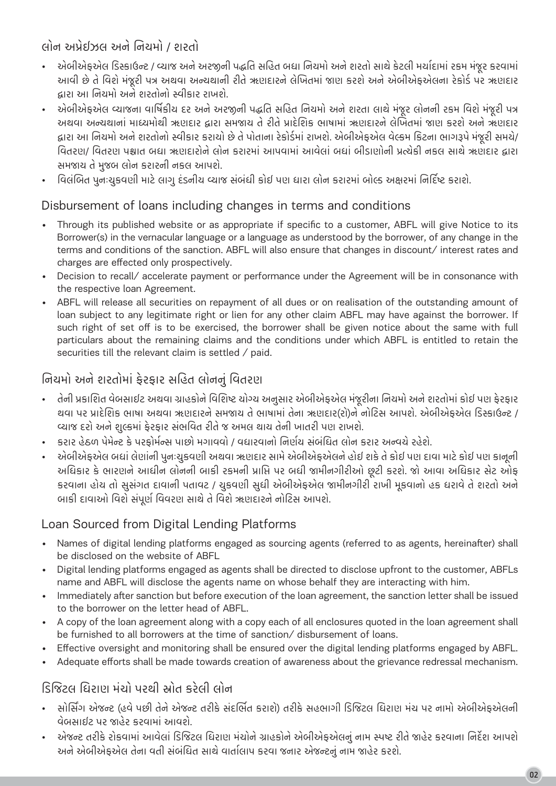# <u>લોન અપ્રઈઝલ અને નિયમો / શરતો</u>

- એબીએફએલ ડિસ્કાઉન્ટ / વ્યાજ અને અરજીની પદ્ધતિ સહિત બંધા નિયમો અને શરતો સાથે કેટલી મર્યાદામાં રકમ મજૂર કરવામા આવી છે તે વિશે મંજૂરી પત્ર અથવા અન્યથાની રીતે ૠણદારને લીખતમાં જાણ કરશે અને અંબીએફએલના રેકોર્ડ પર ૠણદાર દ્વારા આ નિયમાં અને શરતાંનાં સ્વીકાર રાખશે.
- અબોઅફઅલ વ્યાજના વાષિકોય દર અન અરજીનો પદ્ધતિ સહિત નિયમાં અને શરતા લાથ મંજૂર લાનનો રકમ વિશ મંજૂરો પત્ર અથવા અન્યથાના માધ્યમાંથી ૠણદાર દ્વારા સમજાય તે રીતે પ્રાદીશકે ભાષામાં ૠણદારને લીખતમાં જાણે કરશે અને ૠણદાર દ્વારા આ નિયમાં અને શરતાના સ્વીકાર કરાયા છે તે પાતાના રકાડમાં રાખેશ. અબીઅફઅલ વલ્કમ કિટના ભાગરૂપ મંજૂરી સમય/ વિતરણ/ વિતરણ પશ્ચાત બધા ૠણદારોને લોન કરારમાં આપવામાં આવેલાં બધાં બીડાણોની પ્રત્યેકી નકલ સાથે ૠણદાર દ્વારા સમજાય ત મુજબ લાન કરારનો નકલ આપશ.
- વિલીબત પુનઃચુકવર્ણો માટ લાગુ દડનીય વ્યાજ સબધી કાઈ પણ ધારા લાન કરારમાં બાલ્ડ અક્ષરમાં નિશ્ચ્ચિ કરાશ.

# Disbursement of loans including changes in terms and conditions

- Through its published website or as appropriate if specific to a customer, ABFL will give Notice to its Borrower(s) in the vernacular language or a language as understood by the borrower, of any change in the terms and conditions of the sanction. ABFL will also ensure that changes in discount/ interest rates and charges are effected only prospectively.
- Decision to recall/ accelerate payment or performance under the Agreement will be in consonance with the respective loan Agreement.
- ABFL will release all securities on repayment of all dues or on realisation of the outstanding amount of loan subject to any legitimate right or lien for any other claim ABFL may have against the borrower. If such right of set off is to be exercised, the borrower shall be given notice about the same with full particulars about the remaining claims and the conditions under which ABFL is entitled to retain the securities till the relevant claim is settled / paid.

# નિયમાં અને શરતાંમાં ફેરફાર સહિત લાંનનું વિતરણ

- ં તેની પ્રકાશિત વેબસાઈટ અથવા ગ્રાહકોને વિશિષ્ટ યોગ્ય અનુસાર અંબીએફએલ મજૂરીના નિયમો અને શરતોમાં કોઈ પણ ફેરફાર થવા પર પ્રાદીશંક ભાષા અથવા ૠણદારને સમજાય તે ભાષામાં તેના ૠણદાર(રો)ને નોટિસ આપશે. અંબીઅંફઅંલ ડિસ્કાઉન્ટ / વ્યાજ દર્રો અને શુલ્કમાં ફેરફાર સંભવિત રીતે જ અમલ થાય તેની ખાતરી પણ રાખશે.
- કરાર હેઠળ પેમેન્ટ કે પરફામેન્સ પાછા મેગાવવા / વેદ્યારવાના નિર્ણય સંબંધિત લાન કરાર અન્વય રહેશ.
- એબીએફએલ બધાં લેણાંની પુનઃચુકવણી અથવા ૠણદાર સામે એબીએફએલને હોઈ શકે તે કોઈ પણ દાવા માટે કોઈ પણ કાનૂની આધકાર કે ભારણને આધીન લોનની બાકી રકમની પ્રાપ્તિ પર બધી જામીનગીરીઓ છૂટી કરશે. જો આવા અધિકાર સેટ ઓફ કરવાના હોય તો સુસગત દાવાની પતાવટ / ચુકવણી સુધી અંબીએફએલ જામીનગીરી રાખી મૂકવાનો હક ધરાવે તે શરતો અને બાકી દાવાઓ વિશે સંપૂર્ણ વિવરણ સાથે તે વિશે ૠણદારને નોટિસ આપશે.

# Loan Sourced from Digital Lending Platforms

- Names of digital lending platforms engaged as sourcing agents (referred to as agents, hereinafter) shall be disclosed on the website of ABFL
- Digital lending platforms engaged as agents shall be directed to disclose upfront to the customer, ABFLs name and ABFL will disclose the agents name on whose behalf they are interacting with him.
- Immediately after sanction but before execution of the loan agreement, the sanction letter shall be issued to the borrower on the letter head of ABFL.
- A copy of the loan agreement along with a copy each of all enclosures quoted in the loan agreement shall be furnished to all borrowers at the time of sanction/ disbursement of loans.
- Effective oversight and monitoring shall be ensured over the digital lending platforms engaged by ABFL.
- Adequate efforts shall be made towards creation of awareness about the grievance redressal mechanism.

# ડિજિટલ ધિરાણ મંચો પરથી સ્રોત કરેલી લોન

- સાંસિંગ અંજન્ટ (હવે પછી તેને અંજન્ટ તરીકે સદલિત કરાશે) તરીકે સહભાગી ડિજિટલ ધિરાણ મચ પર નામાં અંબીઅંફઅંલની વેબસાઈટ પર જાહેર કરવામાં આવશે.
- એજન્ટ તરીકે રોકવામાં આવેલાં ડિજિટલ ધિરાણ મંચોને ગ્રાહકોને એબીએફએલનું નામ સ્પષ્ટ રીતે જાહેર કરવાના નિર્દેશ આપશે અને એબીએફએલ તેના વતી સંબંધિત સાથે વાર્તાલાપ કરવા જનાર એજન્ટનું નામ જાહેર કરશે.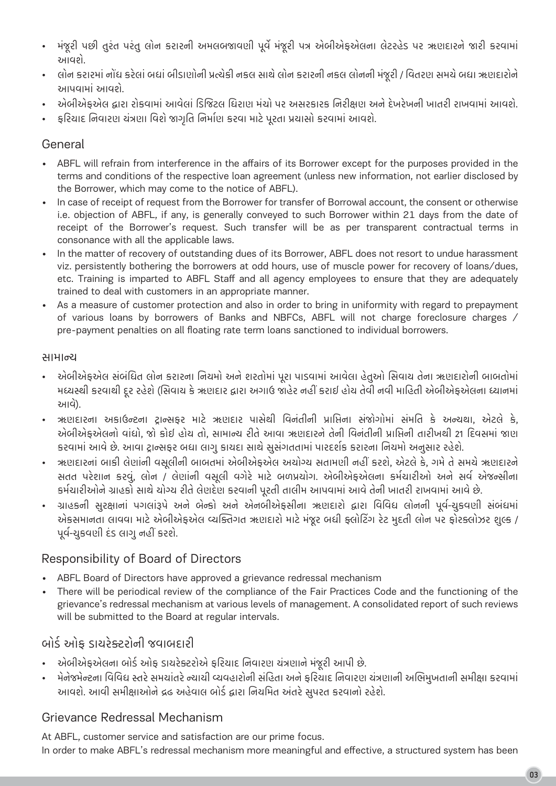- મજૂરી પછી તુરત પરતુ લોન કરારની અમલબજાવણી પૂર્વ મજૂરી પત્ર અંબીઅંફઅલના લેટરહેડ પર ૠણદારને જારી કરવામા આવશે
- લોન કરારમા નોંધ કરેલા બધા બીડાણોની પ્રત્યેકી નકલ સાથે લોન કરારની નકલ લોનની મજૂરી / વિતરણ સમયે બધા ૠણદારોને આપવામાં આવશે.
- એબીએફએલ દ્વારા રોકવામાં આવેલાં ડિજિટલ ધિરાણ મંચો પર અસરકારક નિરીક્ષણ અને દેખરેખની ખાતરી રાખવામાં આવશે.
- ફરિયાદ નિવારણ ચત્રણા વિશે જાગૃતિ નિર્માણ કરવા માટે પૂરતા પ્રયાસો કરવામાં આવશે.

## General

- ABFL will refrain from interference in the affairs of its Borrower except for the purposes provided in the terms and conditions of the respective loan agreement (unless new information, not earlier disclosed by the Borrower, which may come to the notice of ABFL).
- In case of receipt of request from the Borrower for transfer of Borrowal account, the consent or otherwise i.e. objection of ABFL, if any, is generally conveyed to such Borrower within 21 days from the date of receipt of the Borrower's request. Such transfer will be as per transparent contractual terms in consonance with all the applicable laws.
- In the matter of recovery of outstanding dues of its Borrower, ABFL does not resort to undue harassment viz. persistently bothering the borrowers at odd hours, use of muscle power for recovery of loans/dues, etc. Training is imparted to ABFL Staff and all agency employees to ensure that they are adequately trained to deal with customers in an appropriate manner.
- As a measure of customer protection and also in order to bring in uniformity with regard to prepayment of various loans by borrowers of Banks and NBFCs, ABFL will not charge foreclosure charges / pre-payment penalties on all floating rate term loans sanctioned to individual borrowers.

### સામાન્ય

- અબીઅફઅલ સંબંધિત લાન કરારના નિયમાં અને શરતામાં પૂરા પાડવામાં આવેલા હેતુઆ સિવાય તેના ૠણદારાની બાબતામાં મધ્યસ્થી કરવાથી દૂર રહેશ (સિવાય કે ૠણદાર દ્વારા અગાઉ જાહર નહીં કરાઈ હાંય તેવી નવી માહિતી અબીઅફઅલના ધ્યાનમાં આવે).
- ૠણદારના અકાઉન્ટના ટ્રાન્સફર માટે ૠણદાર પાસેથી વિનંતીની પ્રાપ્તિના સંજોગોમાં સંમતિ કે અન્યથા, એટલે કે, અંબીએફએલનો વાઘો, જો કોઈ હોય તો, સામાન્ય રીતે આવા ૠણદારને તેની વિનતીની પ્રાપ્તિની તારીખર્થી 21 દિવસમાં જાણ કરવામાં આવે છે. આવા ટ્રાન્સફર બંધા લાગુ કાયદા સાથે સુસગતતામાં પારદશંક કરારના નિયમો અનુસાર રહેશે.
- ૠણદારના બાકી લેણાની વસૂલીની બાબતમાં અંબીએફએલ અયોગ્ય સતામણી નહી કરશે, અંટલે કે, ગમેં તે સમયે ૠણદારને સતત પરેશાન કરવુ, લોન / લેણાની વસૂલી વગેરે માટે બળપ્રયોગ. અંબીઅંફએલના કર્મચારીઓ અને સર્વે અંજન્સીના કમેચારીઓને ગ્રાહકો સાથે ચોગ્ય રીતે લેણદેણ કરવાની પૂરતી તાલીમ આપવામાં આવે તેની ખાતરી રાખવામાં આવે છે.
- ગ્રાહકની સુરક્ષાનાં પગલાંરૂપે અને બેન્કો અને એનબીએફસીના ૠણદારો દ્વારા વિવિધ લોનની પૂર્વ-ચુકવણી સંબંધમાં એકસમાનતા લાવવા માટે એબીએફએલ વ્યક્તિગત ૠણદારો માટે મંજૂર બધી ફ્લોટિંગ રેટ મુદતી લોન પર ફોરક્લોઝર શુલ્ક / પૂર્વ-ચુકવણી દંડ લાગૂ નહીં કરશે.

# Responsibility of Board of Directors

- ABFL Board of Directors have approved a grievance redressal mechanism
- There will be periodical review of the compliance of the Fair Practices Code and the functioning of the grievance's redressal mechanism at various levels of management. A consolidated report of such reviews will be submitted to the Board at regular intervals.

# બોર્ડ ઓફ ડાયરેક્ટરોની જવાબદારી

- એબીએફએલના બોર્ડ ઓફ ડાયરેક્ટરોએ ફરિયાદ નિવારણ યત્રણાને મજૂરી આપી છે.
- મેનેજમેન્ટના વિવિધ સ્તરે સમયાતરે ન્યાયી વ્યવહારોની સહિતા અને ફરિયાદ નિવારણ ચત્રણાની અભિમુખતાની સમીક્ષા કરવામા આવશે. આવી સમીક્ષાઓને દ્રઢ અહેવાલ બોર્ડ દ્વારા નિયમિત અતરે સુપરત કરવાનો રહેશે.

# Grievance Redressal Mechanism

At ABFL, customer service and satisfaction are our prime focus. In order to make ABFL's redressal mechanism more meaningful and effective, a structured system has been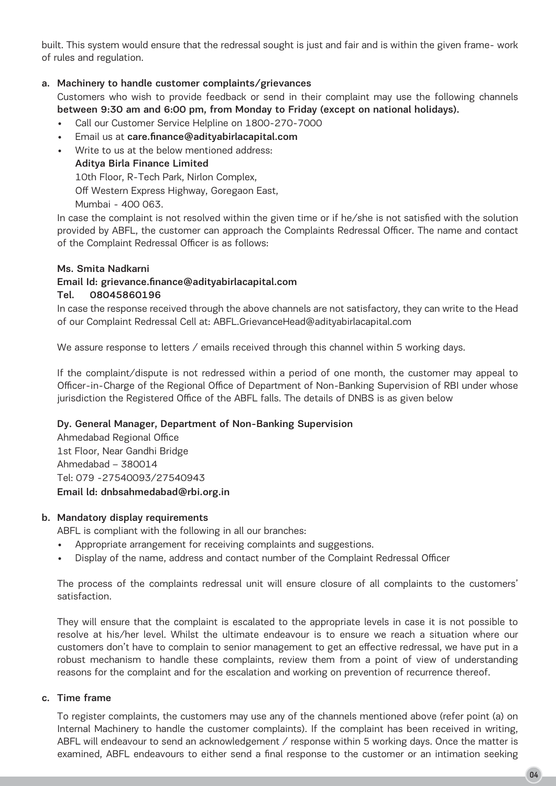built. This system would ensure that the redressal sought is just and fair and is within the given frame- work of rules and regulation.

#### a. Machinery to handle customer complaints/grievances

Customers who wish to provide feedback or send in their complaint may use the following channels between 9:30 am and 6:00 pm, from Monday to Friday (except on national holidays).

- Call our Customer Service Helpline on 1800-270-7000
- Email us at care.finance@adityabirlacapital.com
- Write to us at the below mentioned address: Aditya Birla Finance Limited 10th Floor, R-Tech Park, Nirlon Complex, Off Western Express Highway, Goregaon East,

Mumbai - 400 063.

In case the complaint is not resolved within the given time or if he/she is not satisfied with the solution provided by ABFL, the customer can approach the Complaints Redressal Officer. The name and contact of the Complaint Redressal Officer is as follows:

#### Ms. Smita Nadkarni

#### Email Id: grievance.finance@adityabirlacapital.com

#### Tel. 08045860196

In case the response received through the above channels are not satisfactory, they can write to the Head of our Complaint Redressal Cell at: ABFL.GrievanceHead@adityabirlacapital.com

We assure response to letters / emails received through this channel within 5 working days.

If the complaint/dispute is not redressed within a period of one month, the customer may appeal to Officer-in-Charge of the Regional Office of Department of Non-Banking Supervision of RBI under whose jurisdiction the Registered Office of the ABFL falls. The details of DNBS is as given below

#### Dy. General Manager, Department of Non-Banking Supervision

Ahmedabad Regional Office 1st Floor, Near Gandhi Bridge Ahmedabad – 380014 Tel: 079 -27540093/27540943 Email ld: dnbsahmedabad@rbi.org.in

#### b. Mandatory display requirements

ABFL is compliant with the following in all our branches:

- Appropriate arrangement for receiving complaints and suggestions.
- Display of the name, address and contact number of the Complaint Redressal Officer

The process of the complaints redressal unit will ensure closure of all complaints to the customers' satisfaction.

They will ensure that the complaint is escalated to the appropriate levels in case it is not possible to resolve at his/her level. Whilst the ultimate endeavour is to ensure we reach a situation where our customers don't have to complain to senior management to get an effective redressal, we have put in a robust mechanism to handle these complaints, review them from a point of view of understanding reasons for the complaint and for the escalation and working on prevention of recurrence thereof.

#### c. Time frame

To register complaints, the customers may use any of the channels mentioned above (refer point (a) on Internal Machinery to handle the customer complaints). If the complaint has been received in writing, ABFL will endeavour to send an acknowledgement / response within 5 working days. Once the matter is examined, ABFL endeavours to either send a final response to the customer or an intimation seeking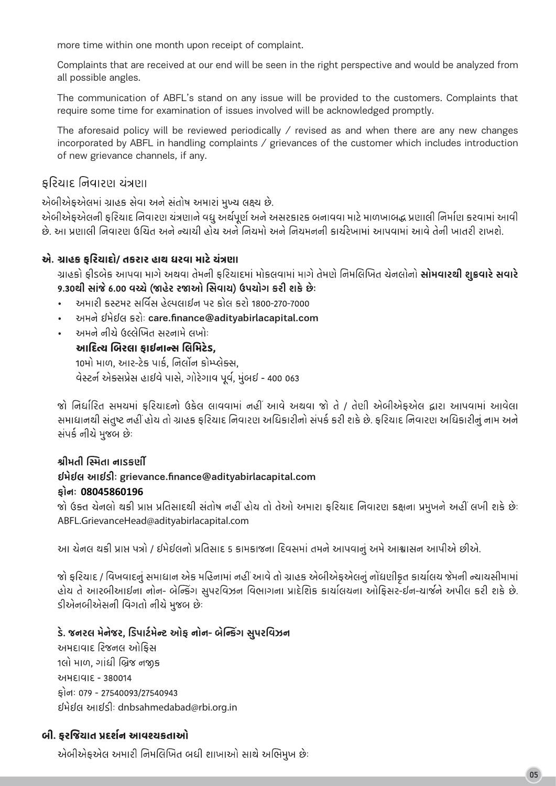more time within one month upon receipt of complaint.

Complaints that are received at our end will be seen in the right perspective and would be analyzed from all possible angles.

The communication of ABFL's stand on any issue will be provided to the customers. Complaints that require some time for examination of issues involved will be acknowledged promptly.

The aforesaid policy will be reviewed periodically / revised as and when there are any new changes incorporated by ABFL in handling complaints / grievances of the customer which includes introduction of new grievance channels, if any.

# કરિયાદ નિવારણ ચંત્રણા

એબીએફએલમાં ગ્રાહક સેવા અને સંતોષ અમારાં મુખ્ય લક્ષ્ય છે.

એબીએફએલની ફરિયાદ નિવારણ ચંત્રણાને વધુ અર્થપૂર્ણ અને અસરકારક બનાવવા માટે માળખાબદ્ધ પ્રણાલી નિર્માણ કરવામાં આવી છે. આ પ્રણાલી નિવારણ ઉચિત અને ન્યાયી હોય અને નિયમો અને નિયમનની કાર્યરેખામાં આપવામાં આવે તેની ખાતરી રાખશે.

### એ. ગ્રાહક કરિયાદો/ તકરાર હાથ ધરવા માટે ચંત્રણા

ગ્રાહકો ફીડબેક આપવા માગે અથવા તેમની ફરિયાદમાં મોકલવામાં માગે તેમણે નિમલિખિત ચેનલોનો **સોમવારથી શુક્રવારે સવારે** 9.30થી સાંજે 6.00 વચ્ચે (જાહેર રજાઓ સિવાય) ઉપયોગ કરી શકે છે:

- અમારી કસ્ટમર સર્વિસ હેલ્પલાઈન પર કોલ કરો 1800-270-7000
- અમને ઈમેઈલ કરો: care.finance@adityabirlacapital.com
- અમને નીચે ઉલ્લેખિત સરનામે લખોઃ આદિત્ય બિરલા કાઈનાન્સ લિમિટેડ. 10મો માળ, આર-ટેક પાર્ક, નિર્લોન કોમ્પ્લેક્સ, વેસ્ટર્ન એક્સપ્રેસ હાઈવે પાસે, ગોરેગાવ પૂર્વ, મુંબઈ - 400 063

જો નિર્ધારિત સમયમાં કરિયાદનો ઉકેલ લાવવામાં નહીં આવે અથવા જો તે / તેણી એબીએકએલ દ્રારા આપવામાં આવેલા સમાધાનથી સંતુષ્ટ નહીં હોય તો ગ્રાહક ફરિયાદ નિવારણ અધિકારીનો સંપર્ક કરી શકે છે. ફરિયાદ નિવારણ અધિકારીનું નામ અને સંપર્ક નીચે મુજબ છેઃ

### શ્રીમતી સ્મિતા નાડકર્ણી

### ઇમેઈલ આઈડી: grievance.finance@adityabirlacapital.com

### **08045860196**

જો ઉક્ત ચેનલો થકી પ્રાપ્ત પ્રતિસાદથી સંતોષ નહીં હોય તો તેઓ અમારા ફરિયાદ નિવારણ કક્ષના પ્રમુખને અહીં લખી શકે છેઃ ABFL.GrievanceHead@adityabirlacapital.com

આ ચેનલ થકી પ્રાપ્ત પત્રો / ઈમેઈલનો પ્રતિસાદ 5 કામકાજના દિવસમાં તમને આપવાનું અમે આશ્વાસન આપીએ છીએ.

જો ફરિયાદ / વિખવાદનું સમાધાન એક મહિનામાં નહીં આવે તો ગ્રાહક એબીએફએલનું નોંધણીકૃત કાર્યાલય જેમની ન્યાયસીમામાં હોય તે આરબીઆઈના નોન- બેન્કિંગ સુપરવિઝન વિભાગના પ્રાદેશિક કાર્યાલયના ઓફિસર-ઈન-ચાર્જને અપીલ કરી શકે છે. ડીએનબીએસની વિગતો નીચે મુજબ છેઃ

### ડે. જનરલ મેનેજર, ડિપાર્ટમેન્ટ ઓફ નોન- બેન્કિંગ સુપરવિઝન

અમદાવાદ રિજનલ ઓકિસ 1લો માળ. ગાંધી બ્રિજ નજીક અમદાવાદ - 380014 sig: 079 - 27540093/27540943 ઈમેઈલ આઈડી: dnbsahmedabad@rbi.org.in

### બી. કરજિયાત પ્રદર્શન આવશ્યકતાઓ

એબીએફએલ અમારી નિમલિખિત બધી શાખાઓ સાથે અભિમુખ છેઃ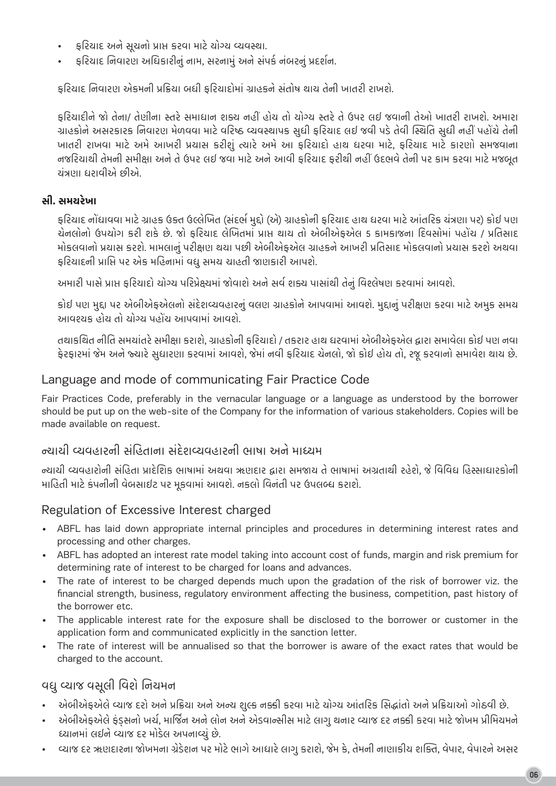- ફોરયાદ અને સૂચનો પ્રાપ્ત કરવા માટે યોગ્ય વ્યવસ્થા.
- ફરિયાદ નિવારણ અધિકારીનું નામ, સરનામું અને સપર્ક નબરનું પ્રદર્શન.

ફરિયાદ નિવારણ એકમની પ્રક્રિયા બધી ફરિયાદોમાં ગ્રાહકને સંતોષ થાય તેની ખાતરી રાખશે.

ફરિયાદીને જો તેના/ તેણીના સ્તરે સમાધાન શક્ય નહી હોય તો યોગ્ય સ્તરે તે ઉપર લઈ જવાની તેઓ ખાતરી રાખશે. અમારા ગ્રાહકોને અસરકારક નિવારણ મેળવવા માટે વરિષ્ઠ વ્યવસ્થાપક સુધી ફરિયાદ લઈ જવી પડે તેવી સ્થિતિ સુધી નહી પહોંચે તેની ખાતરી રાખવા માટે અમે આખરી પ્રયાસ કરીશુ ત્યારે અમે આ ફરિયાદો હાથ ધરવા માટે, ફરિયાદ માટે કારણો સમજવાના નજરિયાર્થી તેમની સમીક્ષા અને તે ઉપર લઈ જવા માટે અને આવી ફરિયાદ ફરીથી નહી ઉદભવે તેની પર કામ કરવા માટે મજબૂત ચત્રણા ધરાવીએ છીએ.

### સી, સમયરેખા

ફરિયાદ નોંધાવવા માટે ગ્રાહક ઉક્ત ઉલ્લીખત (સદભે મુદ્દો (એ) ગ્રાહકોની ફરિયાદ હાથ ધરવા માટે આતરિક યત્રણા પર) કોઈ પણ ચંનલોનો ઉપયોગ કરી શકે છે. જો ફરિયાદ લીખતમાં પ્રાપ્ત થાય તો એબીએફએલ 5 કામકાજના દિવસોમાં પહોંચ / પ્રતિસાદ માંકલવાના પ્રયાસ કરશ. મામલાનું પરીક્ષણ થયા પછી અબીઅફઅલ ગ્રાહંકન આખરી પ્રતિસાદ માંકલવાના પ્રયાસ કરશ અથવા ફીરયાદની પ્રાપ્તિ પર અક મહિનામાં વધું સમય ચાહતી જાણકારી આપશ.

અમારી પાસે પ્રાપ્ત ફરિયાદો યોગ્ય પરિપ્રેક્ષ્યમાં જોવાશે અને સર્વે શક્ય પાસાથી તેનું વિશ્લેષણ કરવામાં આવશે.

કોઈ પણ મુદ્દા પર એબીએફએલનો સદેશવ્યવહારનું વલણ ગ્રાહકોને આપવામાં આવશે. મુદ્દાનું પરીક્ષણ કરવા માટે અમુક સમય આવશ્યક હોય તો યોગ્ય પહોંચ આપવામાં આવશે.

તથાકીથત નીતિ સમયાતર સમીક્ષા કરાશ, ગ્રાહકાની ફરિયાદા / તકરાર હાથ ધરવામાં અબીઅફઅલ દ્વારા સમાવલા કાઈ પણ નવા ફરફારમાં જમ અને જ્યાર સુધારણા કરવામાં આવેશ, જેમાં નવી ફરિયાદ ચનલા, જા કાઈ હાંચ તા, રજૂ કરવાના સમાવેશ થાય છે.

### Language and mode of communicating Fair Practice Code

Fair Practices Code, preferably in the vernacular language or a language as understood by the borrower should be put up on the web-site of the Company for the information of various stakeholders. Copies will be made available on request.

# ન્યાર્યા વ્યવહારની સહિતાના સદેશવ્યવહારની ભાષા અને માધ્યમ

ન્ચાર્યા વ્યવહારાની સહિતા પ્રાદીશક ભાષામાં અથવા ૠણદાર દ્વારા સમજાય ત ભાષામાં અંગ્રતાથી રહેશ, જ વિવિધ હિસ્સાધારકાની માહિતી માટે કંપનીની વેબસાઈટ પર મૂકવામાં આવશે. નકલો વિનંતી પર ઉપલબ્ધ કરાશે.

## Regulation of Excessive Interest charged

- ABFL has laid down appropriate internal principles and procedures in determining interest rates and processing and other charges.
- ABFL has adopted an interest rate model taking into account cost of funds, margin and risk premium for determining rate of interest to be charged for loans and advances.
- The rate of interest to be charged depends much upon the gradation of the risk of borrower viz. the financial strength, business, regulatory environment affecting the business, competition, past history of the borrower etc.
- The applicable interest rate for the exposure shall be disclosed to the borrower or customer in the application form and communicated explicitly in the sanction letter.
- The rate of interest will be annualised so that the borrower is aware of the exact rates that would be charged to the account.

# વધુ વ્યાજ વસૂલી વિશે નિયમન

- અબોઅફઅલ વ્યાજ દરા અન પ્રોક્રયા અન અન્ય શુલ્ક નક્કી કરવા માટ યાગ્ય આતરિક સિદ્ધાતા અન પ્રોક્રયાઆ ગાઠવો છ.
- એબીએફએલે ફર્ડ્સનો ખર્ચ, માજિન અને લોન અને એડવાન્સીસ માટે લાગુ થનાર વ્યાજ દર નક્કી કરવા માટે જોખમ પ્રીમિયમને ધ્યાનમાં લઈને વ્યાજ દર માંડેલ અપનાવ્યું છે.
- વ્યાજ દર ૠણદારના જોખમના ગ્રંડેશન પર મોટે ભાગે આધારે લાગુ કરાશે, જેમ કે, તેમની નાણાકીય શક્તિ, વંપાર, વંપારને અસર